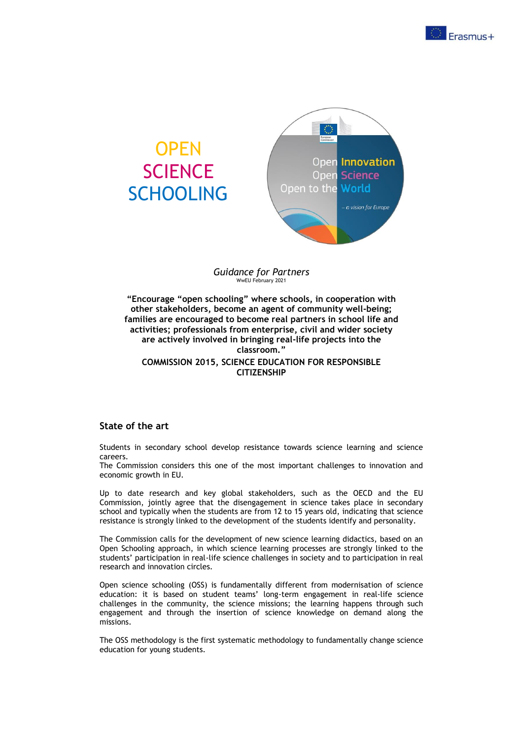

# **OPEN SCIENCE SCHOOLING**



#### *Guidance for Partners* WwEU February 2021

**"Encourage "open schooling" where schools, in cooperation with other stakeholders, become an agent of community well-being; families are encouraged to become real partners in school life and activities; professionals from enterprise, civil and wider society are actively involved in bringing real-life projects into the classroom." COMMISSION 2015, SCIENCE EDUCATION FOR RESPONSIBLE CITIZENSHIP**

## **State of the art**

Students in secondary school develop resistance towards science learning and science careers.

The Commission considers this one of the most important challenges to innovation and economic growth in EU.

Up to date research and key global stakeholders, such as the OECD and the EU Commission, jointly agree that the disengagement in science takes place in secondary school and typically when the students are from 12 to 15 years old, indicating that science resistance is strongly linked to the development of the students identify and personality.

The Commission calls for the development of new science learning didactics, based on an Open Schooling approach, in which science learning processes are strongly linked to the students' participation in real-life science challenges in society and to participation in real research and innovation circles.

Open science schooling (OSS) is fundamentally different from modernisation of science education: it is based on student teams' long-term engagement in real-life science challenges in the community, the science missions; the learning happens through such engagement and through the insertion of science knowledge on demand along the missions.

The OSS methodology is the first systematic methodology to fundamentally change science education for young students.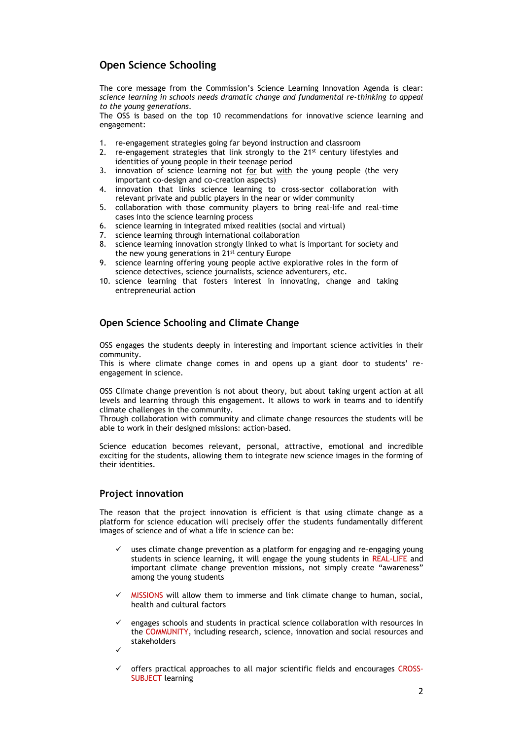## **Open Science Schooling**

The core message from the Commission's Science Learning Innovation Agenda is clear: *science learning in schools needs dramatic change and fundamental re-thinking to appeal to the young generations*.

The OSS is based on the top 10 recommendations for innovative science learning and engagement:

- 1. re-engagement strategies going far beyond instruction and classroom
- 2. re-engagement strategies that link strongly to the  $21<sup>st</sup>$  century lifestyles and identities of young people in their teenage period
- 3. innovation of science learning not for but with the young people (the very important co-design and co-creation aspects)
- 4. innovation that links science learning to cross-sector collaboration with relevant private and public players in the near or wider community
- 5. collaboration with those community players to bring real-life and real-time cases into the science learning process
- 6. science learning in integrated mixed realities (social and virtual)
- 7. science learning through international collaboration
- 8. science learning innovation strongly linked to what is important for society and the new young generations in 21<sup>st</sup> century Europe
- 9. science learning offering young people active explorative roles in the form of science detectives, science journalists, science adventurers, etc.
- 10. science learning that fosters interest in innovating, change and taking entrepreneurial action

## **Open Science Schooling and Climate Change**

OSS engages the students deeply in interesting and important science activities in their community.

This is where climate change comes in and opens up a giant door to students' reengagement in science.

OSS Climate change prevention is not about theory, but about taking urgent action at all levels and learning through this engagement. It allows to work in teams and to identify climate challenges in the community.

Through collaboration with community and climate change resources the students will be able to work in their designed missions: action-based.

Science education becomes relevant, personal, attractive, emotional and incredible exciting for the students, allowing them to integrate new science images in the forming of their identities.

## **Project innovation**

The reason that the project innovation is efficient is that using climate change as a platform for science education will precisely offer the students fundamentally different images of science and of what a life in science can be:

- uses climate change prevention as a platform for engaging and re-engaging young students in science learning, it will engage the young students in REAL-LIFE and important climate change prevention missions, not simply create "awareness" among the young students
- MISSIONS will allow them to immerse and link climate change to human, social, health and cultural factors
- ✓ engages schools and students in practical science collaboration with resources in the COMMUNITY, including research, science, innovation and social resources and stakeholders
- ✓
- offers practical approaches to all major scientific fields and encourages CROSS-SUBJECT learning